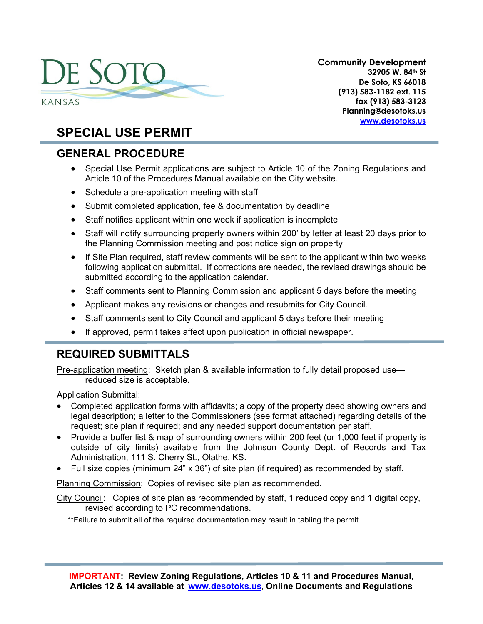# DE SOTO KANSAS

**Community Development 32905 W. 84th St De Soto, KS 66018 (913) 583-1182 ext. 115 fax (913) 583-3123 Planning@desotoks.us [www.desotoks.us](http://www.desotoks.us/)**

# **SPECIAL USE PERMIT**

# **GENERAL PROCEDURE**

- Special Use Permit applications are subject to Article 10 of the Zoning Regulations and Article 10 of the Procedures Manual available on the City website.
- Schedule a pre-application meeting with staff
- Submit completed application, fee & documentation by deadline
- Staff notifies applicant within one week if application is incomplete
- Staff will notify surrounding property owners within 200' by letter at least 20 days prior to the Planning Commission meeting and post notice sign on property
- If Site Plan required, staff review comments will be sent to the applicant within two weeks following application submittal. If corrections are needed, the revised drawings should be submitted according to the application calendar.
- Staff comments sent to Planning Commission and applicant 5 days before the meeting
- Applicant makes any revisions or changes and resubmits for City Council.
- Staff comments sent to City Council and applicant 5 days before their meeting
- If approved, permit takes affect upon publication in official newspaper.

# **REQUIRED SUBMITTALS**

Pre-application meeting: Sketch plan & available information to fully detail proposed use reduced size is acceptable.

Application Submittal:

- Completed application forms with affidavits; a copy of the property deed showing owners and legal description; a letter to the Commissioners (see format attached) regarding details of the request; site plan if required; and any needed support documentation per staff.
- Provide a buffer list & map of surrounding owners within 200 feet (or 1,000 feet if property is outside of city limits) available from the Johnson County Dept. of Records and Tax Administration, 111 S. Cherry St., Olathe, KS.
- Full size copies (minimum 24" x 36") of site plan (if required) as recommended by staff.

Planning Commission: Copies of revised site plan as recommended.

City Council: Copies of site plan as recommended by staff, 1 reduced copy and 1 digital copy, revised according to PC recommendations.

\*\*Failure to submit all of the required documentation may result in tabling the permit.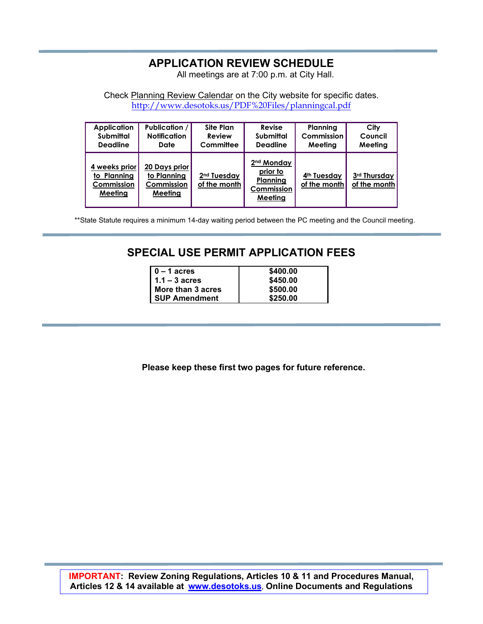## **APPLICATION REVIEW SCHEDULE**

All meetings are at 7:00 p.m. at City Hall.

Check Planning Review Calendar on the City website for specific dates. <http://www.desotoks.us/PDF%20Files/planningcal.pdf>

| <b>Application</b>                                    | <b>Publication /  </b>                                | <b>Site Plan</b>                        | Revise                                                                  | Planning                                | City                         |
|-------------------------------------------------------|-------------------------------------------------------|-----------------------------------------|-------------------------------------------------------------------------|-----------------------------------------|------------------------------|
| Submittal                                             | <b>Notification</b>                                   | Review                                  | <b>Submittal</b>                                                        | Commission                              | Council                      |
| <b>Deadline</b>                                       | Date                                                  | Committee                               | <b>Deadline</b>                                                         | Meetina                                 | Meeting                      |
| 4 weeks prior<br>to Plannina<br>Commission<br>Meeting | 20 Days prior<br>to Planning<br>Commission<br>Meeting | 2 <sup>nd</sup> Tuesday<br>of the month | 2 <sup>nd</sup> Monday<br>prior to<br>Planning<br>Commission<br>Meeting | 4 <sup>th</sup> Tuesday<br>of the month | 3rd Thursday<br>of the month |

\*\*State Statute requires a minimum 14-day waiting period between the PC meeting and the Council meeting.

# **SPECIAL USE PERMIT APPLICATION FEES**

| $0 - 1$ acres        |
|----------------------|
| $1.1 - 3$ acres      |
| More than 3 acres    |
| <b>SUP Amendment</b> |
|                      |

**0 – 1 acres \$400.00 1.1 – 3 acres \$450.00 More than 3 acres \$500.00 SUP Amendment \$250.00**

**Please keep these first two pages for future reference.**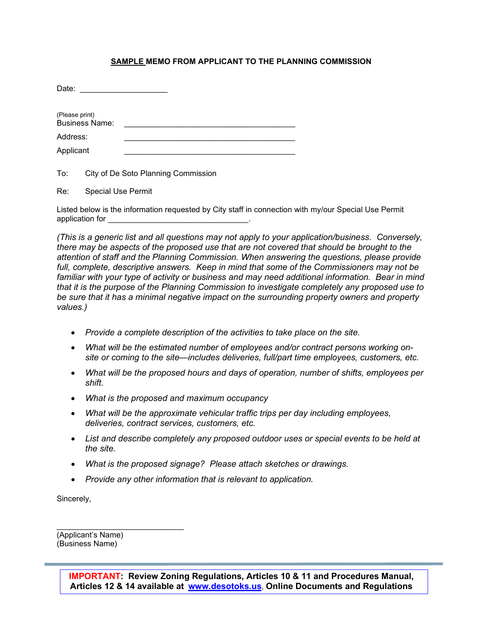#### **SAMPLE MEMO FROM APPLICANT TO THE PLANNING COMMISSION**

To: City of De Soto Planning Commission

Re: Special Use Permit

Listed below is the information requested by City staff in connection with my/our Special Use Permit application for \_\_\_\_\_\_\_\_\_\_\_\_\_\_\_\_\_\_\_\_\_\_\_\_\_\_\_\_\_\_\_\_.

*(This is a generic list and all questions may not apply to your application/business. Conversely, there may be aspects of the proposed use that are not covered that should be brought to the attention of staff and the Planning Commission. When answering the questions, please provide full, complete, descriptive answers. Keep in mind that some of the Commissioners may not be familiar with your type of activity or business and may need additional information. Bear in mind that it is the purpose of the Planning Commission to investigate completely any proposed use to be sure that it has a minimal negative impact on the surrounding property owners and property values.)*

- *Provide a complete description of the activities to take place on the site.*
- *What will be the estimated number of employees and/or contract persons working onsite or coming to the site—includes deliveries, full/part time employees, customers, etc.*
- *What will be the proposed hours and days of operation, number of shifts, employees per shift.*
- *What is the proposed and maximum occupancy*
- *What will be the approximate vehicular traffic trips per day including employees, deliveries, contract services, customers, etc.*
- *List and describe completely any proposed outdoor uses or special events to be held at the site.*
- *What is the proposed signage? Please attach sketches or drawings.*
- *Provide any other information that is relevant to application.*

Sincerely,

(Applicant's Name) (Business Name)

\_\_\_\_\_\_\_\_\_\_\_\_\_\_\_\_\_\_\_\_\_\_\_\_\_\_\_\_\_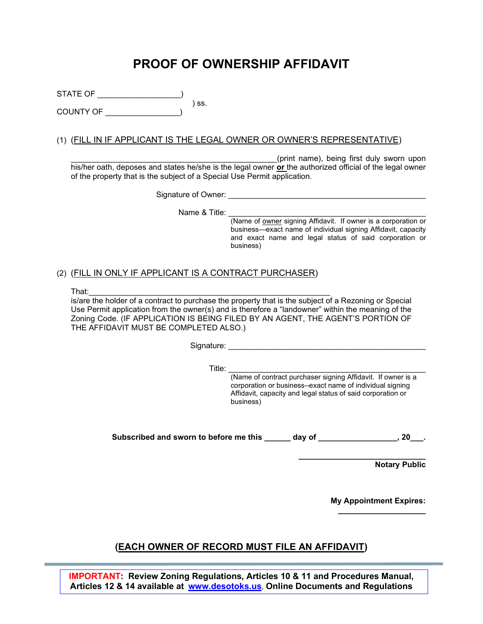# **PROOF OF OWNERSHIP AFFIDAVIT**

STATE OF \_\_\_\_\_\_\_\_\_\_\_\_\_\_\_\_\_\_\_\_\_\_\_) ) ss.  $($ COUNTY OF

#### (1) (FILL IN IF APPLICANT IS THE LEGAL OWNER OR OWNER'S REPRESENTATIVE)

\_\_\_\_\_\_\_\_\_\_\_\_\_\_\_\_\_\_\_\_\_\_\_\_\_\_\_\_\_\_\_\_\_\_\_\_\_\_\_\_\_\_\_\_\_\_\_(print name), being first duly sworn upon his/her oath, deposes and states he/she is the legal owner **or** the authorized official of the legal owner of the property that is the subject of a Special Use Permit application.

Signature of Owner: \_\_\_\_\_\_\_\_\_\_\_\_\_\_\_\_\_\_\_\_\_\_\_\_\_\_\_\_\_\_\_\_\_\_\_\_\_\_\_\_\_\_\_\_\_

Name & Title:

(Name of owner signing Affidavit. If owner is a corporation or business—exact name of individual signing Affidavit, capacity and exact name and legal status of said corporation or business)

#### (2) (FILL IN ONLY IF APPLICANT IS A CONTRACT PURCHASER)

That:\_\_\_\_\_\_\_\_\_\_\_\_\_\_\_\_\_\_\_\_\_\_\_\_\_\_\_\_\_\_\_\_\_\_\_\_\_\_\_\_\_\_\_\_\_\_\_\_\_\_\_\_\_\_\_ is/are the holder of a contract to purchase the property that is the subject of a Rezoning or Special Use Permit application from the owner(s) and is therefore a "landowner" within the meaning of the Zoning Code. (IF APPLICATION IS BEING FILED BY AN AGENT, THE AGENT'S PORTION OF THE AFFIDAVIT MUST BE COMPLETED ALSO.)

Signature: \_\_\_\_\_\_\_\_\_\_\_\_\_\_\_\_\_\_\_\_\_\_\_\_\_\_\_\_\_\_\_\_\_\_\_\_\_\_\_\_\_\_\_\_\_

Title: \_\_\_\_\_\_\_\_\_\_\_\_\_\_\_\_\_\_\_\_\_\_\_\_\_\_\_\_\_\_\_\_\_\_\_\_\_\_\_\_\_\_\_\_\_ (Name of contract purchaser signing Affidavit. If owner is a corporation or business--exact name of individual signing Affidavit, capacity and legal status of said corporation or business)

Subscribed and sworn to before me this \_\_\_\_\_ day of \_\_\_\_\_\_\_\_\_\_\_\_\_\_\_, 20\_\_\_.

**\_\_\_\_\_\_\_\_\_\_\_\_\_\_\_\_\_\_\_\_\_\_\_\_\_\_\_\_\_ Notary Public**

> **My Appointment Expires: \_\_\_\_\_\_\_\_\_\_\_\_\_\_\_\_\_\_\_\_**

### **(EACH OWNER OF RECORD MUST FILE AN AFFIDAVIT)**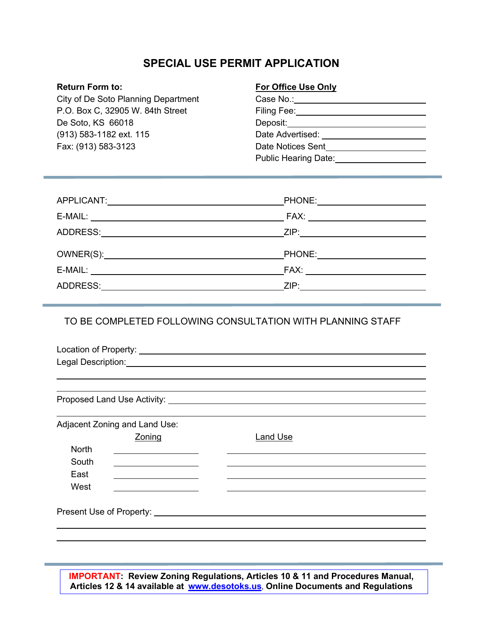# **SPECIAL USE PERMIT APPLICATION**

City of De Soto Planning Department P.O. Box C, 32905 W. 84th Street De Soto, KS 66018 (913) 583-1182 ext. 115 Fax: (913) 583-3123

#### **Return Form to: For Office Use Only**

| <b>Planning Department</b> | Case No.:                   |
|----------------------------|-----------------------------|
| 905 W. 84th Street         | Filing Fee:                 |
| 6018                       | Deposit:                    |
| ext. 115                   | Date Advertised:            |
| -3123                      | Date Notices Sent           |
|                            | <b>Public Hearing Date:</b> |

|          | PHONE: 2000 2000 2010 2010 2010 2010 2021 2022 2023 |
|----------|-----------------------------------------------------|
|          |                                                     |
| ADDRESS: |                                                     |
|          |                                                     |
|          |                                                     |
|          | FAX: _____________________________                  |

#### TO BE COMPLETED FOLLOWING CONSULTATION WITH PLANNING STAFF

| Location of Property: |  |  |
|-----------------------|--|--|
| Legal Description:    |  |  |

Proposed Land Use Activity: University of the Contract of the Contract of the Contract of the Contract of the Contract of the Contract of the Contract of the Contract of the Contract of the Contract of the Contract of the

|              | Adjacent Zoning and Land Use:    |                 |
|--------------|----------------------------------|-----------------|
|              | Zoning                           | <b>Land Use</b> |
| <b>North</b> |                                  |                 |
| South        |                                  |                 |
| East         |                                  |                 |
| West         |                                  |                 |
|              |                                  |                 |
|              | Present Use of Property: _______ |                 |
|              |                                  |                 |